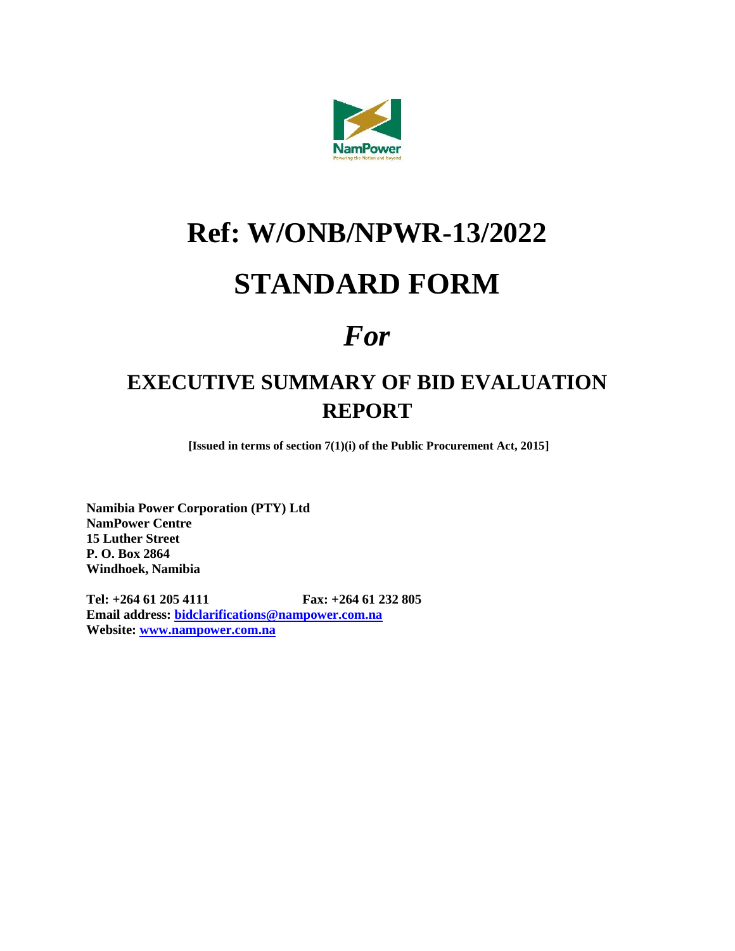

# **Ref: W/ONB/NPWR-13/2022**

## **STANDARD FORM**

## *For*

### **EXECUTIVE SUMMARY OF BID EVALUATION REPORT**

**[Issued in terms of section 7(1)(i) of the Public Procurement Act, 2015]**

**Namibia Power Corporation (PTY) Ltd NamPower Centre 15 Luther Street P. O. Box 2864 Windhoek, Namibia**

**Tel: +264 61 205 4111 Fax: +264 61 232 805 Email address: [bidclarifications@nampower.com.na](mailto:bidclarifications@nampower.com.na) Website: [www.nampower.com.na](http://www.nampower.com.na/)**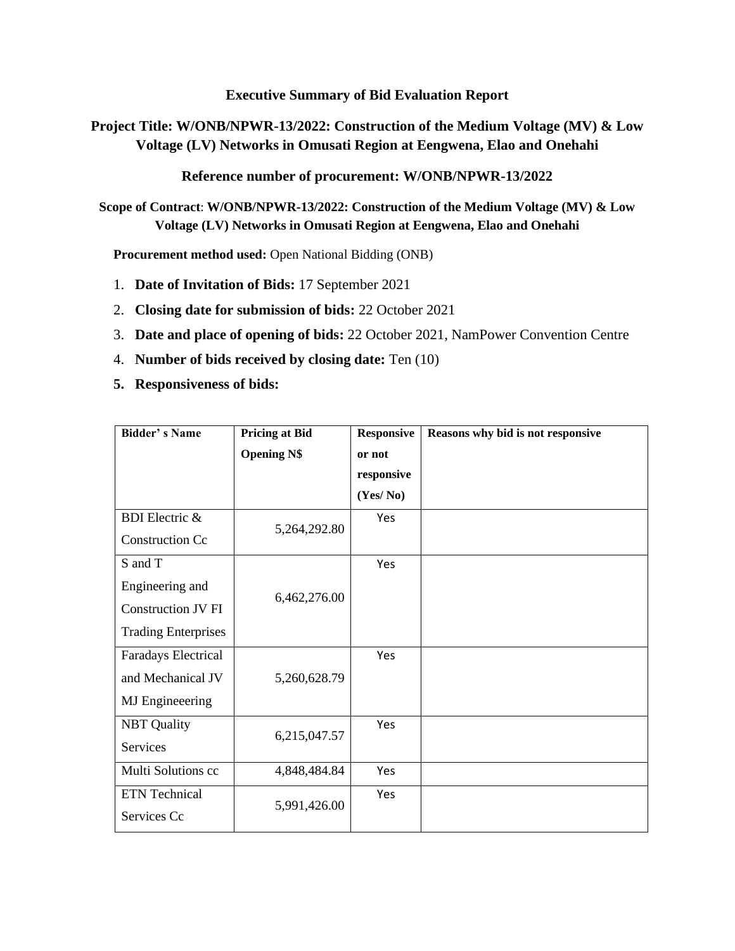#### **Executive Summary of Bid Evaluation Report**

**Project Title: W/ONB/NPWR-13/2022: Construction of the Medium Voltage (MV) & Low Voltage (LV) Networks in Omusati Region at Eengwena, Elao and Onehahi**

**Reference number of procurement: W/ONB/NPWR-13/2022**

**Scope of Contract**: **W/ONB/NPWR-13/2022: Construction of the Medium Voltage (MV) & Low Voltage (LV) Networks in Omusati Region at Eengwena, Elao and Onehahi**

**Procurement method used:** Open National Bidding (ONB)

- 1. **Date of Invitation of Bids:** 17 September 2021
- 2. **Closing date for submission of bids:** 22 October 2021
- 3. **Date and place of opening of bids:** 22 October 2021, NamPower Convention Centre
- 4. **Number of bids received by closing date:** Ten (10)
- **5. Responsiveness of bids:**

| <b>Bidder's Name</b>       | <b>Pricing at Bid</b> | <b>Responsive</b> | Reasons why bid is not responsive |
|----------------------------|-----------------------|-------------------|-----------------------------------|
|                            | <b>Opening N\$</b>    | or not            |                                   |
|                            |                       | responsive        |                                   |
|                            |                       | (Yes/No)          |                                   |
| <b>BDI</b> Electric &      | 5,264,292.80          | Yes               |                                   |
| <b>Construction Cc</b>     |                       |                   |                                   |
| S and T                    |                       | Yes               |                                   |
| Engineering and            | 6,462,276.00          |                   |                                   |
| <b>Construction JV FI</b>  |                       |                   |                                   |
| <b>Trading Enterprises</b> |                       |                   |                                   |
| Faradays Electrical        |                       | Yes               |                                   |
| and Mechanical JV          | 5,260,628.79          |                   |                                   |
| MJ Engineeering            |                       |                   |                                   |
| <b>NBT</b> Quality         | 6,215,047.57          | Yes               |                                   |
| Services                   |                       |                   |                                   |
| Multi Solutions cc         | 4,848,484.84          | Yes               |                                   |
| ETN Technical              | 5,991,426.00          | Yes               |                                   |
| Services Cc                |                       |                   |                                   |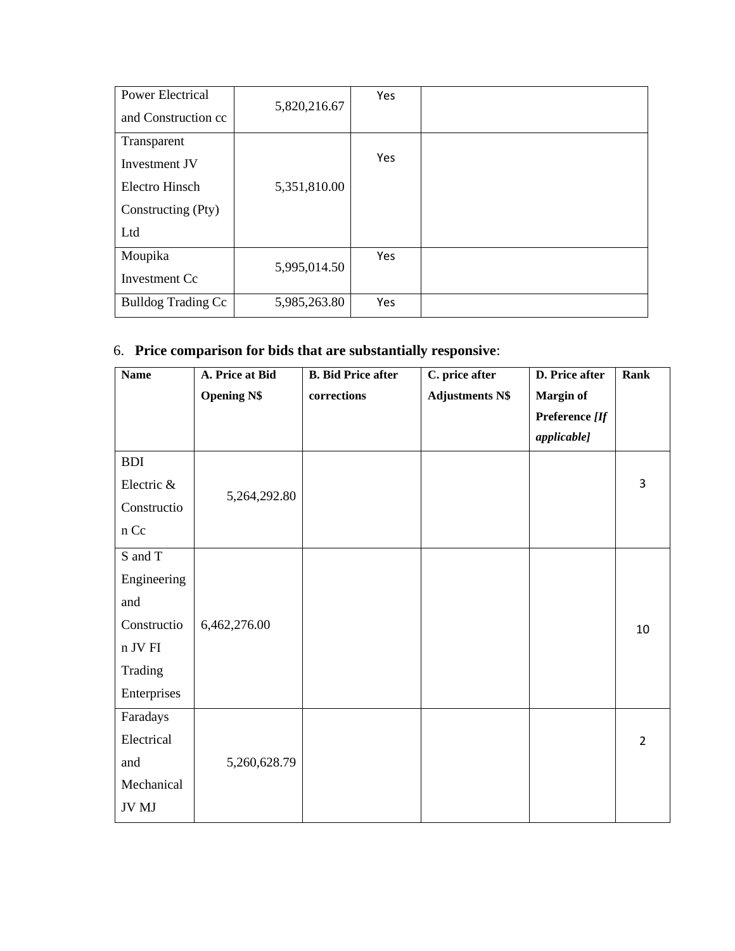| <b>Power Electrical</b>   | 5,820,216.67 | Yes |  |
|---------------------------|--------------|-----|--|
| and Construction cc       |              |     |  |
| Transparent               |              |     |  |
| Investment JV             |              | Yes |  |
| Electro Hinsch            | 5,351,810.00 |     |  |
| Constructing (Pty)        |              |     |  |
| Ltd                       |              |     |  |
| Moupika                   | 5,995,014.50 | Yes |  |
| Investment Cc             |              |     |  |
| <b>Bulldog Trading Cc</b> | 5,985,263.80 | Yes |  |

#### 6. **Price comparison for bids that are substantially responsive**:

| <b>Name</b> | A. Price at Bid    | <b>B.</b> Bid Price after | C. price after         | D. Price after     | Rank           |
|-------------|--------------------|---------------------------|------------------------|--------------------|----------------|
|             | <b>Opening N\$</b> | corrections               | <b>Adjustments N\$</b> | <b>Margin of</b>   |                |
|             |                    |                           |                        | Preference [If     |                |
|             |                    |                           |                        | <i>applicable]</i> |                |
| <b>BDI</b>  |                    |                           |                        |                    |                |
| Electric &  |                    |                           |                        |                    | 3              |
| Constructio | 5,264,292.80       |                           |                        |                    |                |
| n Cc        |                    |                           |                        |                    |                |
| S and T     |                    |                           |                        |                    |                |
| Engineering |                    |                           |                        |                    |                |
| and         |                    |                           |                        |                    |                |
| Constructio | 6,462,276.00       |                           |                        |                    | 10             |
| n JV FI     |                    |                           |                        |                    |                |
| Trading     |                    |                           |                        |                    |                |
| Enterprises |                    |                           |                        |                    |                |
| Faradays    |                    |                           |                        |                    |                |
| Electrical  |                    |                           |                        |                    | $\overline{2}$ |
| and         | 5,260,628.79       |                           |                        |                    |                |
| Mechanical  |                    |                           |                        |                    |                |
| JV MJ       |                    |                           |                        |                    |                |